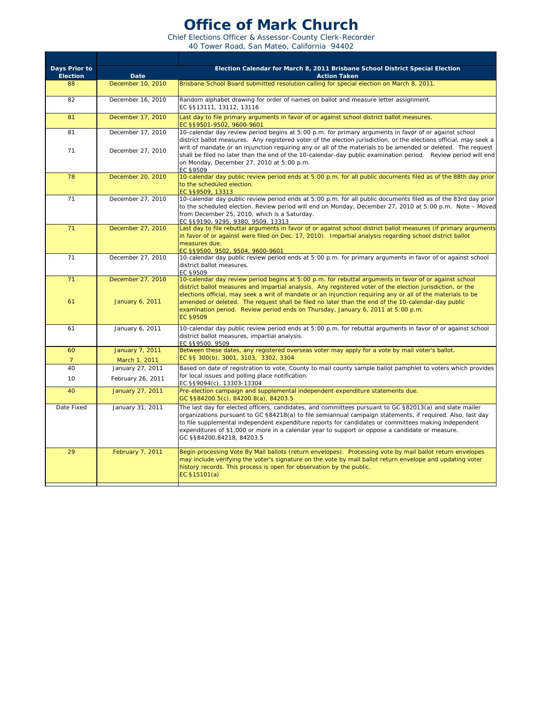## **Office of Mark Church**

Chief Elections Officer & Assessor-County Clerk-Recorder 40 Tower Road, San Mateo, California 94402

| Days Prior to<br><b>Election</b> | <b>Date</b>                           | Election Calendar for March 8, 2011 Brisbane School District Special Election<br><b>Action Taken</b>                                                                                                                                                                                                                                                                                                                                                                                                                                      |
|----------------------------------|---------------------------------------|-------------------------------------------------------------------------------------------------------------------------------------------------------------------------------------------------------------------------------------------------------------------------------------------------------------------------------------------------------------------------------------------------------------------------------------------------------------------------------------------------------------------------------------------|
| 88                               | December 10, 2010                     | Brisbane School Board submitted resolution calling for special election on March 8, 2011.                                                                                                                                                                                                                                                                                                                                                                                                                                                 |
| 82                               | December 16, 2010                     | Random alphabet drawing for order of names on ballot and measure letter assignment.<br>EC §§13111, 13112, 13116                                                                                                                                                                                                                                                                                                                                                                                                                           |
| 81                               | December 17, 2010                     | Last day to file primary arguments in favor of or against school district ballot measures.<br>EC §§9501-9502, 9600-9601                                                                                                                                                                                                                                                                                                                                                                                                                   |
| 81                               | December 17, 2010                     | 10-calendar day review period begins at 5:00 p.m. for primary arguments in favor of or against school<br>district ballot measures. Any registered voter of the election jurisdiction, or the elections official, may seek a                                                                                                                                                                                                                                                                                                               |
| 71                               | December 27, 2010                     | writ of mandate or an injunction requiring any or all of the materials to be amended or deleted. The request<br>shall be filed no later than the end of the 10-calendar-day public examination period. Review period will end<br>on Monday, December 27, 2010 at 5:00 p.m.<br>EC §9509                                                                                                                                                                                                                                                    |
| 78                               | December 20, 2010                     | 10-calendar day public review period ends at 5:00 p.m. for all public documents filed as of the 88th day prior<br>to the scheduled election.<br>EC §§9509, 13313                                                                                                                                                                                                                                                                                                                                                                          |
| 71                               | December 27, 2010                     | 10-calendar day public review period ends at 5:00 p.m. for all public documents filed as of the 83rd day prior<br>to the scheduled election. Review period will end on Monday, December 27, 2010 at 5:00 p.m. Note - Moved<br>from December 25, 2010, which is a Saturday.<br>EC §§9190, 9295, 9380, 9509, 13313                                                                                                                                                                                                                          |
| 71                               | December 27, 2010                     | Last day to file rebuttal arguments in favor of or against school district ballot measures (if primary arguments<br>in favor of or against were filed on Dec. 17, 2010). Impartial analysis regarding school district ballot<br>measures due.<br>EC \$\$9500, 9502, 9504, 9600-9601                                                                                                                                                                                                                                                       |
| 71                               | December 27, 2010                     | 10-calendar day public review period ends at 5:00 p.m. for primary arguments in favor of or against school<br>district ballot measures.<br>EC §9509                                                                                                                                                                                                                                                                                                                                                                                       |
| 71<br>61                         | December 27, 2010<br>January 6, 2011  | 10-calendar day review period begins at 5:00 p.m. for rebuttal arguments in favor of or against school<br>district ballot measures and impartial analysis. Any registered voter of the election jurisdiction, or the<br>elections official, may seek a writ of mandate or an injunction requiring any or all of the materials to be<br>amended or deleted. The request shall be filed no later than the end of the 10-calendar-day public<br>examination period. Review period ends on Thursday, January 6, 2011 at 5:00 p.m.<br>EC §9509 |
| 61                               | January 6, 2011                       | 10-calendar day public review period ends at 5:00 p.m. for rebuttal arguments in favor of or against school<br>district ballot measures, impartial analysis.<br>EC §§9500, 9509                                                                                                                                                                                                                                                                                                                                                           |
| 60<br>$7\overline{ }$            | January 7, 2011<br>March 1, 2011      | Between these dates, any registered overseas voter may apply for a vote by mail voter's ballot.<br>EC §§ 300(b), 3001, 3103, 3302, 3304                                                                                                                                                                                                                                                                                                                                                                                                   |
| 40<br>10                         | January 27, 2011<br>February 26, 2011 | Based on date of registration to vote, County to mail county sample ballot pamphlet to voters which provides<br>for local issues and polling place notification.<br>EC §§9094(c), 13303-13304                                                                                                                                                                                                                                                                                                                                             |
| 40                               | January 27, 2011                      | Pre-election campaign and supplemental independent expenditure statements due.<br>GC §§84200.5(c), 84200.8(a), 84203.5                                                                                                                                                                                                                                                                                                                                                                                                                    |
| Date Fixed                       | January 31, 2011                      | The last day for elected officers, candidates, and committees pursuant to GC §82013(a) and slate mailer<br>organizations pursuant to GC §84218(a) to file semiannual campaign statements, if required. Also, last day<br>to file supplemental independent expenditure reports for candidates or committees making independent<br>expenditures of \$1,000 or more in a calendar year to support or oppose a candidate or measure.<br>GC §§84200,84218, 84203.5                                                                             |
| 29                               | February 7, 2011                      | Begin processing Vote By Mail ballots (return envelopes). Processing vote by mail ballot return envelopes<br>may include verifying the voter's signature on the vote by mail ballot return envelope and updating voter<br>history records. This process is open for observation by the public.<br>EC §15101(a)                                                                                                                                                                                                                            |